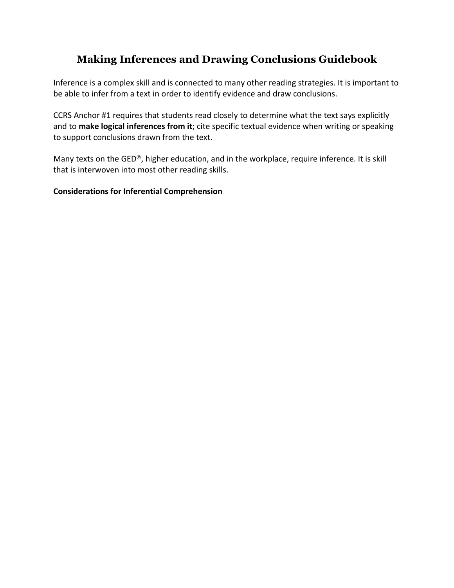## **Making Inferences and Drawing Conclusions Guidebook**

Inference is a complex skill and is connected to many other reading strategies. It is important to be able to infer from a text in order to identify evidence and draw conclusions.

CCRS Anchor #1 requires that students read closely to determine what the text says explicitly and to make logical inferences from it; cite specific textual evidence when writing or speaking to support conclusions drawn from the text.

Many texts on the GED®, higher education, and in the workplace, require inference. It is skill that is interwoven into most other reading skills.

#### **Considerations for Inferential Comprehension**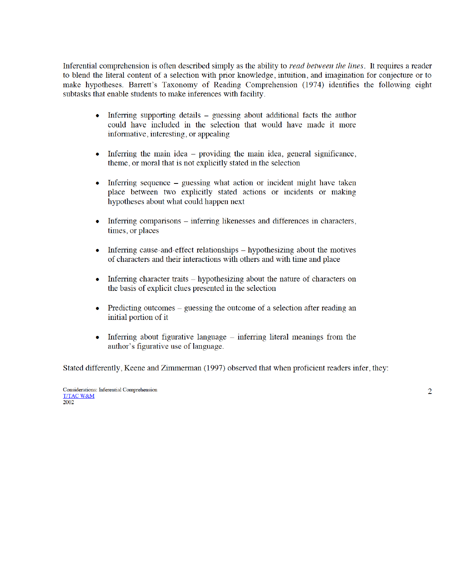Inferential comprehension is often described simply as the ability to read between the lines. It requires a reader to blend the literal content of a selection with prior knowledge, intuition, and imagination for conjecture or to make hypotheses. Barrett's Taxonomy of Reading Comprehension (1974) identifies the following eight subtasks that enable students to make inferences with facility.

- Inferring supporting details guessing about additional facts the author could have included in the selection that would have made it more informative, interesting, or appealing
- Inferring the main idea providing the main idea, general significance,  $\bullet$ theme, or moral that is not explicitly stated in the selection
- Inferring sequence guessing what action or incident might have taken  $\bullet$ place between two explicitly stated actions or incidents or making hypotheses about what could happen next
- Inferring comparisons inferring likenesses and differences in characters,  $\bullet$ times, or places
- Inferring cause-and-effect relationships hypothesizing about the motives  $\bullet$ of characters and their interactions with others and with time and place
- Inferring character traits hypothesizing about the nature of characters on  $\bullet$ the basis of explicit clues presented in the selection
- Predicting outcomes guessing the outcome of a selection after reading an  $\bullet$ initial portion of it
- Inferring about figurative language inferring literal meanings from the author's figurative use of language.

Stated differently, Keene and Zimmerman (1997) observed that when proficient readers infer, they:

Considerations: Inferential Comprehension **T/TAC W&M** 2002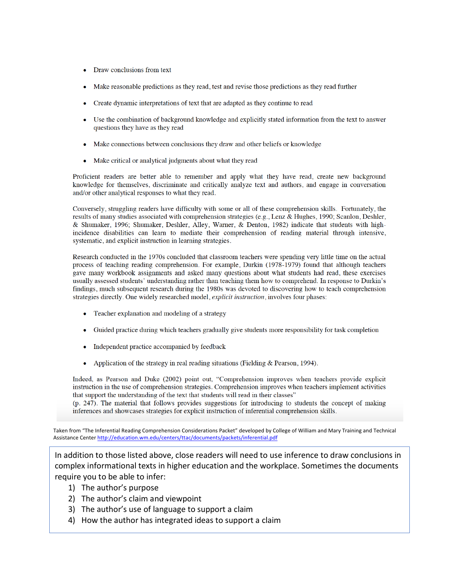- Draw conclusions from text
- Make reasonable predictions as they read, test and revise those predictions as they read further
- Create dynamic interpretations of text that are adapted as they continue to read
- Use the combination of background knowledge and explicitly stated information from the text to answer questions they have as they read
- Make connections between conclusions they draw and other beliefs or knowledge
- Make critical or analytical judgments about what they read

Proficient readers are better able to remember and apply what they have read, create new background knowledge for themselves, discriminate and critically analyze text and authors, and engage in conversation and/or other analytical responses to what they read.

Conversely, struggling readers have difficulty with some or all of these comprehension skills. Fortunately, the results of many studies associated with comprehension strategies (e.g., Lenz & Hughes, 1990; Scanlon, Deshler, & Shumaker, 1996; Shumaker, Deshler, Alley, Warner, & Denton, 1982) indicate that students with highincidence disabilities can learn to mediate their comprehension of reading material through intensive, systematic, and explicit instruction in learning strategies.

Research conducted in the 1970s concluded that classroom teachers were spending very little time on the actual process of teaching reading comprehension. For example, Durkin (1978-1979) found that although teachers gave many workbook assignments and asked many questions about what students had read, these exercises usually assessed students' understanding rather than teaching them how to comprehend. In response to Durkin's findings, much subsequent research during the 1980s was devoted to discovering how to teach comprehension strategies directly. One widely researched model, explicit instruction, involves four phases:

- Teacher explanation and modeling of a strategy
- Guided practice during which teachers gradually give students more responsibility for task completion
- Independent practice accompanied by feedback
- Application of the strategy in real reading situations (Fielding & Pearson, 1994).

Indeed, as Pearson and Duke (2002) point out, "Comprehension improves when teachers provide explicit instruction in the use of comprehension strategies. Comprehension improves when teachers implement activities that support the understanding of the text that students will read in their classes"

(p. 247). The material that follows provides suggestions for introducing to students the concept of making inferences and showcases strategies for explicit instruction of inferential comprehension skills.

Taken from "The Inferential Reading Comprehension Considerations Packet" developed by College of William and Mary Training and Technical Assistance Center http://education.wm.edu/centers/ttac/documents/packets/inferential.pdf

In addition to those listed above, close readers will need to use inference to draw conclusions in complex informational texts in higher education and the workplace. Sometimes the documents require you to be able to infer:

- 1) The author's purpose
- 2) The author's claim and viewpoint
- 3) The author's use of language to support a claim
- 4) How the author has integrated ideas to support a claim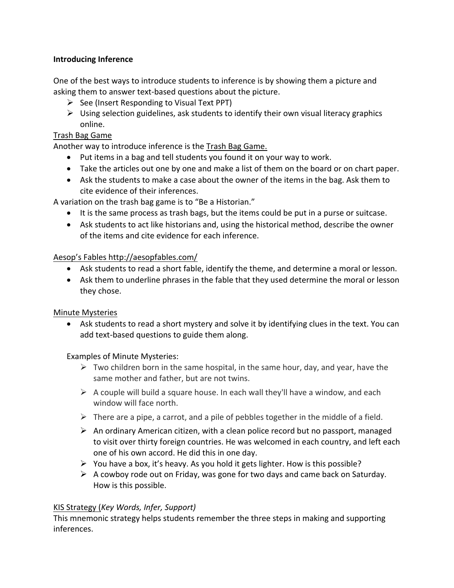#### **Introducing Inference**

One of the best ways to introduce students to inference is by showing them a picture and asking them to answer text-based questions about the picture.

- $\triangleright$  See (Insert Responding to Visual Text PPT)
- $\triangleright$  Using selection guidelines, ask students to identify their own visual literacy graphics online.

#### Trash Bag Game

Another way to introduce inference is the Trash Bag Game.

- Put items in a bag and tell students you found it on your way to work.
- Take the articles out one by one and make a list of them on the board or on chart paper.
- Ask the students to make a case about the owner of the items in the bag. Ask them to cite evidence of their inferences.

A variation on the trash bag game is to "Be a Historian."

- It is the same process as trash bags, but the items could be put in a purse or suitcase.
- Ask students to act like historians and, using the historical method, describe the owner of the items and cite evidence for each inference.

#### Aesop's Fables http://aesopfables.com/

- Ask students to read a short fable, identify the theme, and determine a moral or lesson.
- Ask them to underline phrases in the fable that they used determine the moral or lesson they chose.

#### Minute Mysteries

• Ask students to read a short mystery and solve it by identifying clues in the text. You can add text-based questions to guide them along.

#### Examples of Minute Mysteries:

- $\triangleright$  Two children born in the same hospital, in the same hour, day, and year, have the same mother and father, but are not twins.
- $\triangleright$  A couple will build a square house. In each wall they'll have a window, and each window will face north.
- $\triangleright$  There are a pipe, a carrot, and a pile of pebbles together in the middle of a field.
- $\triangleright$  An ordinary American citizen, with a clean police record but no passport, managed to visit over thirty foreign countries. He was welcomed in each country, and left each one of his own accord. He did this in one day.
- $\triangleright$  You have a box, it's heavy. As you hold it gets lighter. How is this possible?
- $\triangleright$  A cowboy rode out on Friday, was gone for two days and came back on Saturday. How is this possible.

### KIS Strategy (*Key Words, Infer, Support)*

This mnemonic strategy helps students remember the three steps in making and supporting inferences.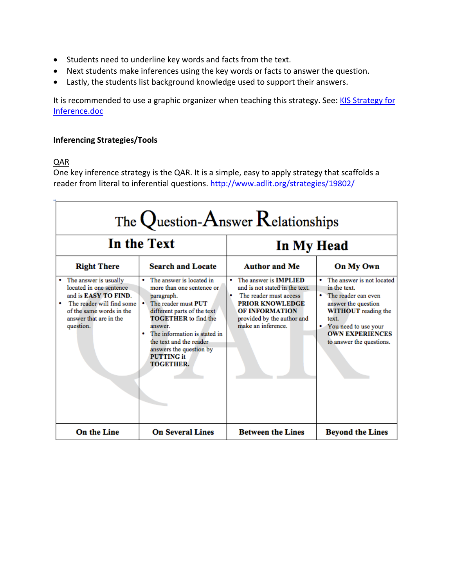- Students need to underline key words and facts from the text.
- Next students make inferences using the key words or facts to answer the question.
- Lastly, the students list background knowledge used to support their answers.

It is recommended to use a graphic organizer when teaching this strategy. See: KIS Strategy for Inference.doc

#### **Inferencing Strategies/Tools**

#### QAR

One key inference strategy is the QAR. It is a simple, easy to apply strategy that scaffolds a reader from literal to inferential questions. http://www.adlit.org/strategies/19802/

| The Question-Answer Relationships                                                                                                                                                     |                                                                                                                                                                                                                                                                                                                   |                                                                                                                                                                                                           |                                                                                                                                                                                                                |
|---------------------------------------------------------------------------------------------------------------------------------------------------------------------------------------|-------------------------------------------------------------------------------------------------------------------------------------------------------------------------------------------------------------------------------------------------------------------------------------------------------------------|-----------------------------------------------------------------------------------------------------------------------------------------------------------------------------------------------------------|----------------------------------------------------------------------------------------------------------------------------------------------------------------------------------------------------------------|
| In the Text                                                                                                                                                                           |                                                                                                                                                                                                                                                                                                                   | In My Head                                                                                                                                                                                                |                                                                                                                                                                                                                |
| <b>Right There</b>                                                                                                                                                                    | <b>Search and Locate</b>                                                                                                                                                                                                                                                                                          | <b>Author and Me</b>                                                                                                                                                                                      | On My Own                                                                                                                                                                                                      |
| The answer is usually<br>located in one sentence<br>and is <b>EASY TO FIND</b> .<br>The reader will find some<br>٠<br>of the same words in the<br>answer that are in the<br>question. | The answer is located in<br>٠<br>more than one sentence or<br>paragraph.<br>The reader must PUT<br>٠<br>different parts of the text<br><b>TOGETHER</b> to find the<br>answer.<br>The information is stated in<br>٠<br>the text and the reader<br>answers the question by<br><b>PUTTING</b> it<br><b>TOGETHER.</b> | The answer is <b>IMPLIED</b><br>٠<br>and is not stated in the text.<br>The reader must access<br>٠<br><b>PRIOR KNOWLEDGE</b><br><b>OF INFORMATION</b><br>provided by the author and<br>make an inference. | The answer is not located<br>in the text.<br>The reader can even<br>answer the question<br><b>WITHOUT</b> reading the<br>text.<br>• You need to use your<br><b>OWN EXPERIENCES</b><br>to answer the questions. |
| <b>On the Line</b>                                                                                                                                                                    | <b>On Several Lines</b>                                                                                                                                                                                                                                                                                           | <b>Between the Lines</b>                                                                                                                                                                                  | <b>Beyond the Lines</b>                                                                                                                                                                                        |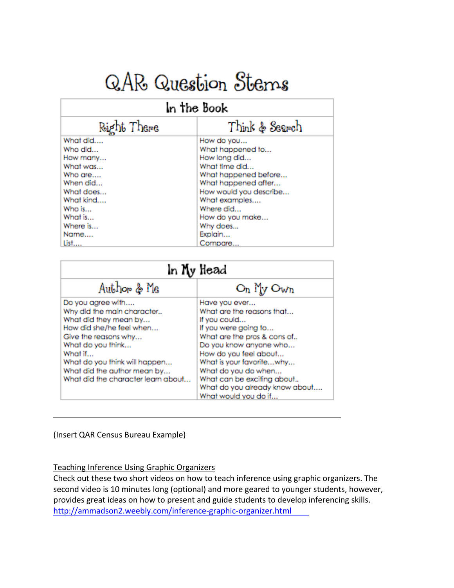# QAR Question Stems

#### In the Book Right There Think & Search What did.... How do you... Who did... What happened to... How many... How long did... What was... What time did... What happened before... Who are.... When did... What happened after... What does... How would you describe... What kind.... What examples.... Who is... Where did... What is... How do you make... Where is... Why does... Name.... Explain... List.... Compare...

| In Ny Head                                                                                                                                                                                                                                                         |                                                                                                                                                                                                                                                                                                                 |  |
|--------------------------------------------------------------------------------------------------------------------------------------------------------------------------------------------------------------------------------------------------------------------|-----------------------------------------------------------------------------------------------------------------------------------------------------------------------------------------------------------------------------------------------------------------------------------------------------------------|--|
| Author & Me                                                                                                                                                                                                                                                        | $O_n$ My $O_{Wn}$                                                                                                                                                                                                                                                                                               |  |
| Do you agree with<br>Why did the main character<br>What did they mean by<br>How did she/he feel when<br>Give the reasons why<br>What do you think<br>What if<br>What do you think will happen<br>What did the author mean by<br>What did the character learn about | Have you ever<br>What are the reasons that<br>If you could<br>If you were going to<br>What are the pros & cons of<br>Do you know anyone who<br>How do you feel about<br>What is your favoritewhy<br>What do you do when<br>What can be exciting about<br>What do you already know about<br>What would you do if |  |

(Insert QAR Census Bureau Example)

#### Teaching Inference Using Graphic Organizers

Check out these two short videos on how to teach inference using graphic organizers. The second video is 10 minutes long (optional) and more geared to younger students, however, provides great ideas on how to present and guide students to develop inferencing skills. http://ammadson2.weebly.com/inference-graphic-organizer.html